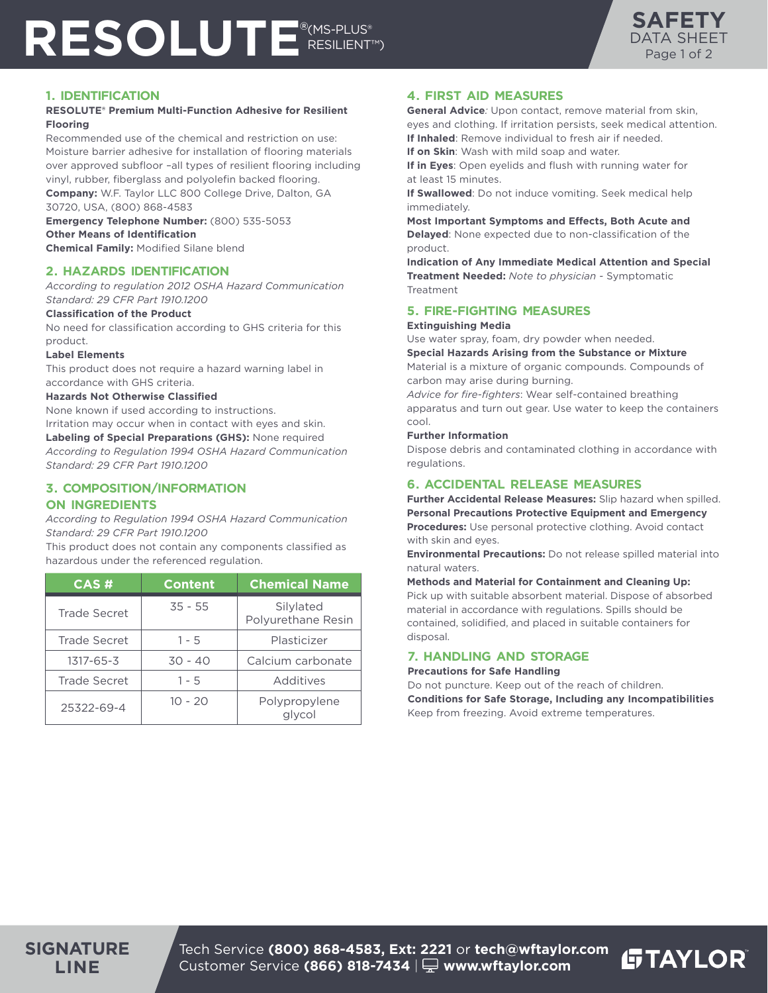# RESOLUTE<sup>®(MS-PLUS®</sup> RESILIENT™)



## **1. IDENTIFICATION**

### **RESOLUTE® Premium Multi-Function Adhesive for Resilient Flooring**

Recommended use of the chemical and restriction on use: Moisture barrier adhesive for installation of flooring materials over approved subfloor –all types of resilient flooring including vinyl, rubber, fiberglass and polyolefin backed flooring. **Company:** W.F. Taylor LLC 800 College Drive, Dalton, GA 30720, USA, (800) 868-4583

**Emergency Telephone Number:** (800) 535-5053 **Other Means of Identification**

**Chemical Family:** Modified Silane blend

## **2. HAZARDS IDENTIFICATION**

*According to regulation 2012 OSHA Hazard Communication Standard: 29 CFR Part 1910.1200* 

### **Classification of the Product**

No need for classification according to GHS criteria for this product.

### **Label Elements**

This product does not require a hazard warning label in accordance with GHS criteria.

### **Hazards Not Otherwise Classified**

None known if used according to instructions. Irritation may occur when in contact with eyes and skin. **Labeling of Special Preparations (GHS):** None required *According to Regulation 1994 OSHA Hazard Communication Standard: 29 CFR Part 1910.1200*

## **3. COMPOSITION/INFORMATION**

## **ON INGREDIENTS**

*According to Regulation 1994 OSHA Hazard Communication Standard: 29 CFR Part 1910.1200* 

This product does not contain any components classified as hazardous under the referenced regulation.

| CAS#                | <b>Content</b> | <b>Chemical Name</b>            |
|---------------------|----------------|---------------------------------|
| <b>Trade Secret</b> | $35 - 55$      | Silylated<br>Polyurethane Resin |
| <b>Trade Secret</b> | $1 - 5$        | Plasticizer                     |
| 1317-65-3           | 30 - 40        | Calcium carbonate               |
| <b>Trade Secret</b> | $1 - 5$        | Additives                       |
| 25322-69-4          | $10 - 20$      | Polypropylene<br>glycol         |

## **4. FIRST AID MEASURES**

**General Advice***:* Upon contact, remove material from skin, eyes and clothing. If irritation persists, seek medical attention. **If Inhaled**: Remove individual to fresh air if needed.

**If on Skin**: Wash with mild soap and water.

**If in Eyes**: Open eyelids and flush with running water for at least 15 minutes.

**If Swallowed**: Do not induce vomiting. Seek medical help immediately.

**Most Important Symptoms and Effects, Both Acute and Delayed**: None expected due to non-classification of the product.

**Indication of Any Immediate Medical Attention and Special Treatment Needed:** *Note to physician -* Symptomatic Treatment

## **5. FIRE-FIGHTING MEASURES**

#### **Extinguishing Media**

Use water spray, foam, dry powder when needed. **Special Hazards Arising from the Substance or Mixture**

Material is a mixture of organic compounds. Compounds of carbon may arise during burning.

*Advice for fire-fighters*: Wear self-contained breathing apparatus and turn out gear. Use water to keep the containers cool.

### **Further Information**

Dispose debris and contaminated clothing in accordance with regulations.

# **6. ACCIDENTAL RELEASE MEASURES**

**Further Accidental Release Measures:** Slip hazard when spilled. **Personal Precautions Protective Equipment and Emergency Procedures:** Use personal protective clothing. Avoid contact with skin and eyes.

**Environmental Precautions:** Do not release spilled material into natural waters.

### **Methods and Material for Containment and Cleaning Up:**

Pick up with suitable absorbent material. Dispose of absorbed material in accordance with regulations. Spills should be contained, solidified, and placed in suitable containers for disposal.

## **7. HANDLING AND STORAGE**

### **Precautions for Safe Handling**

Do not puncture. Keep out of the reach of children. **Conditions for Safe Storage, Including any Incompatibilities** Keep from freezing. Avoid extreme temperatures.

**GTAYLOR** 

Tech Service **(800) 868-4583, Ext: 2221** or **tech@wftaylor.com** Customer Service **(866) 818-7434** | **www.wftaylor.com**